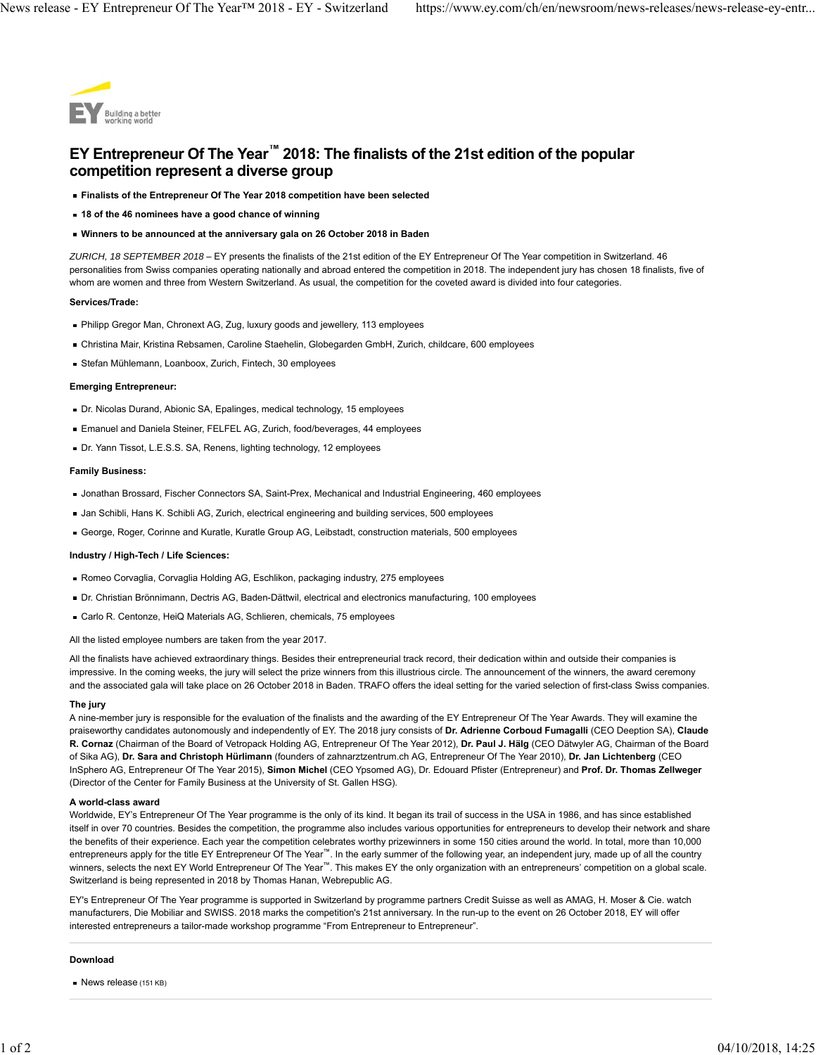

# **EY Entrepreneur Of The Year™ 2018: The finalists of the 21st edition of the popular competition represent a diverse group**

- **Finalists of the Entrepreneur Of The Year 2018 competition have been selected**
- **18 of the 46 nominees have a good chance of winning**
- **Winners to be announced at the anniversary gala on 26 October 2018 in Baden**

*ZURICH, 18 SEPTEMBER 2018* – EY presents the finalists of the 21st edition of the EY Entrepreneur Of The Year competition in Switzerland. 46 personalities from Swiss companies operating nationally and abroad entered the competition in 2018. The independent jury has chosen 18 finalists, five of whom are women and three from Western Switzerland. As usual, the competition for the coveted award is divided into four categories.

#### **Services/Trade:**

- Philipp Gregor Man, Chronext AG, Zug, luxury goods and jewellery, 113 employees
- Christina Mair, Kristina Rebsamen, Caroline Staehelin, Globegarden GmbH, Zurich, childcare, 600 employees
- Stefan Mühlemann, Loanboox, Zurich, Fintech, 30 employees

# **Emerging Entrepreneur:**

- Dr. Nicolas Durand, Abionic SA, Epalinges, medical technology, 15 employees
- Emanuel and Daniela Steiner, FELFEL AG, Zurich, food/beverages, 44 employees
- Dr. Yann Tissot, L.E.S.S. SA, Renens, lighting technology, 12 employees

#### **Family Business:**

- Jonathan Brossard, Fischer Connectors SA, Saint-Prex, Mechanical and Industrial Engineering, 460 employees
- Jan Schibli, Hans K. Schibli AG, Zurich, electrical engineering and building services, 500 employees
- George, Roger, Corinne and Kuratle, Kuratle Group AG, Leibstadt, construction materials, 500 employees

# **Industry / High-Tech / Life Sciences:**

- Romeo Corvaglia, Corvaglia Holding AG, Eschlikon, packaging industry, 275 employees
- Dr. Christian Brönnimann, Dectris AG, Baden-Dättwil, electrical and electronics manufacturing, 100 employees
- Carlo R. Centonze, HeiQ Materials AG, Schlieren, chemicals, 75 employees

All the listed employee numbers are taken from the year 2017.

All the finalists have achieved extraordinary things. Besides their entrepreneurial track record, their dedication within and outside their companies is impressive. In the coming weeks, the jury will select the prize winners from this illustrious circle. The announcement of the winners, the award ceremony and the associated gala will take place on 26 October 2018 in Baden. TRAFO offers the ideal setting for the varied selection of first-class Swiss companies.

## **The jury**

A nine-member jury is responsible for the evaluation of the finalists and the awarding of the EY Entrepreneur Of The Year Awards. They will examine the praiseworthy candidates autonomously and independently of EY. The 2018 jury consists of **Dr. Adrienne Corboud Fumagalli** (CEO Deeption SA), **Claude R. Cornaz** (Chairman of the Board of Vetropack Holding AG, Entrepreneur Of The Year 2012), **Dr. Paul J. Hälg** (CEO Dätwyler AG, Chairman of the Board of Sika AG), **Dr. Sara and Christoph Hürlimann** (founders of zahnarztzentrum.ch AG, Entrepreneur Of The Year 2010), **Dr. Jan Lichtenberg** (CEO InSphero AG, Entrepreneur Of The Year 2015), **Simon Michel** (CEO Ypsomed AG), Dr. Edouard Pfister (Entrepreneur) and **Prof. Dr. Thomas Zellweger** (Director of the Center for Family Business at the University of St. Gallen HSG).

# **A world-class award**

Worldwide, EY's Entrepreneur Of The Year programme is the only of its kind. It began its trail of success in the USA in 1986, and has since established itself in over 70 countries. Besides the competition, the programme also includes various opportunities for entrepreneurs to develop their network and share the benefits of their experience. Each year the competition celebrates worthy prizewinners in some 150 cities around the world. In total, more than 10,000 entrepreneurs apply for the title EY Entrepreneur Of The Year™. In the early summer of the following year, an independent jury, made up of all the country winners, selects the next EY World Entrepreneur Of The Year™. This makes EY the only organization with an entrepreneurs' competition on a global scale. Switzerland is being represented in 2018 by Thomas Hanan, Webrepublic AG.

EY's Entrepreneur Of The Year programme is supported in Switzerland by programme partners Credit Suisse as well as AMAG, H. Moser & Cie. watch manufacturers, Die Mobiliar and SWISS. 2018 marks the competition's 21st anniversary. In the run-up to the event on 26 October 2018, EY will offer interested entrepreneurs a tailor-made workshop programme "From Entrepreneur to Entrepreneur".

## **Download**

News release (151 KB)